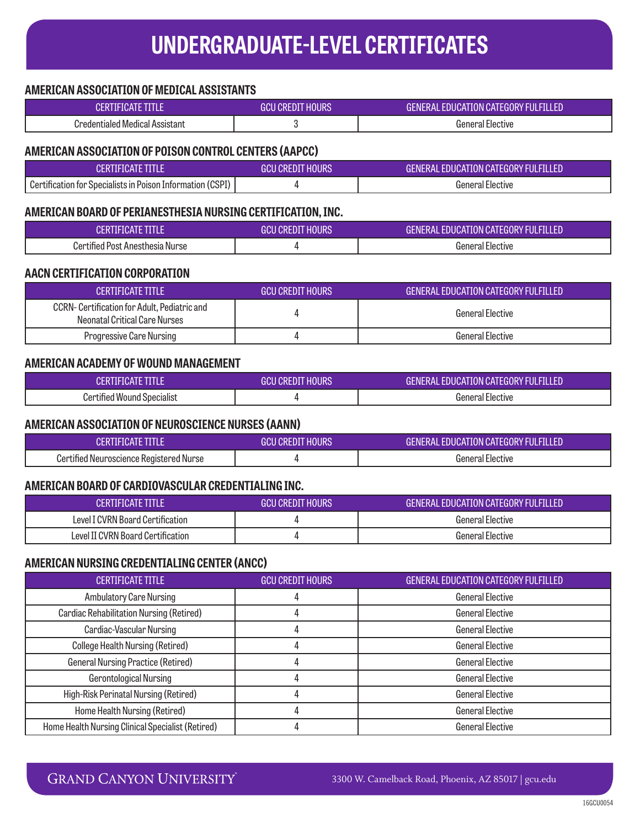## **AMERICAN ASSOCIATION OF MEDICAL ASSISTANTS**

| <b>CERTIFICATE TITLE</b>                                                                 | <b>GCU CREDIT HOURS</b> | GENERAL EDUCATION CATEGORY FULFILLED        |
|------------------------------------------------------------------------------------------|-------------------------|---------------------------------------------|
| <b>Credentialed Medical Assistant</b>                                                    | 3                       | <b>General Elective</b>                     |
| AMERICAN ASSOCIATION OF POISON CONTROL CENTERS (AAPCC)                                   |                         |                                             |
| <b>CERTIFICATE TITLE</b>                                                                 | <b>GCU CREDIT HOURS</b> | GENERAL EDUCATION CATEGORY FULFILLED        |
| Certification for Specialists in Poison Information (CSPI)                               | 4                       | <b>General Elective</b>                     |
|                                                                                          |                         |                                             |
| AMERICAN BOARD OF PERIANESTHESIA NURSING CERTIFICATION, INC.<br><b>CERTIFICATE TITLE</b> | <b>GCU CREDIT HOURS</b> | <b>GENERAL EDUCATION CATEGORY FULFILLED</b> |
| Certified Post Anesthesia Nurse                                                          | 4                       | <b>General Elective</b>                     |
|                                                                                          |                         |                                             |
| <b>AACN CERTIFICATION CORPORATION</b>                                                    |                         |                                             |
| <b>CERTIFICATE TITLE</b>                                                                 | <b>GCU CREDIT HOURS</b> | <b>GENERAL EDUCATION CATEGORY FULFILLED</b> |
| CCRN- Certification for Adult, Pediatric and<br><b>Neonatal Critical Care Nurses</b>     | 4                       | <b>General Elective</b>                     |
| Progressive Care Nursing                                                                 | 4                       | <b>General Elective</b>                     |
| <b>AMERICAN ACADEMY OF WOUND MANAGEMENT</b>                                              |                         |                                             |
| <b>CERTIFICATE TITLE</b>                                                                 | <b>GCU CREDIT HOURS</b> | <b>GENERAL EDUCATION CATEGORY FULFILLED</b> |
| <b>Certified Wound Specialist</b>                                                        | 4                       | <b>General Elective</b>                     |
| <b>AMERICAN ASSOCIATION OF NEUROSCIENCE NURSES (AANN)</b>                                |                         |                                             |
| <b>CERTIFICATE TITLE</b>                                                                 | <b>GCU CREDIT HOURS</b> | GENERAL EDUCATION CATEGORY FULFILLED        |
| Certified Neuroscience Registered Nurse                                                  | 4                       | <b>General Elective</b>                     |
| AMERICAN BOARD OF CARDIOVASCULAR CREDENTIALING INC.                                      |                         |                                             |
| <b>CERTIFICATE TITLE</b>                                                                 | <b>GCU CREDIT HOURS</b> | <b>GENERAL EDUCATION CATEGORY FULFILLED</b> |
| Level I CVRN Board Certification                                                         | 4                       | <b>General Elective</b>                     |
| Level II CVRN Board Certification                                                        | 4                       | <b>General Elective</b>                     |
| AMERICAN NURSING CREDENTIALING CENTER (ANCC)                                             |                         |                                             |
| <b>CERTIFICATE TITLE</b>                                                                 | <b>GCU CREDIT HOURS</b> | <b>GENERAL EDUCATION CATEGORY FULFILLED</b> |
| <b>Ambulatory Care Nursing</b>                                                           | 4                       | <b>General Elective</b>                     |
| <b>Cardiac Rehabilitation Nursing (Retired)</b>                                          | 4                       | <b>General Elective</b>                     |
| Cardiac-Vascular Nursing                                                                 | 4                       | <b>General Elective</b>                     |
| <b>College Health Nursing (Retired)</b>                                                  | 4                       | <b>General Elective</b>                     |
| <b>General Nursing Practice (Retired)</b>                                                | 4                       | General Elective                            |
| Gerontological Nursing                                                                   | 4                       | <b>General Elective</b>                     |
| High-Risk Perinatal Nursing (Retired)                                                    | 4                       | <b>General Elective</b>                     |
| Home Health Nursing (Retired)                                                            | 4                       | <b>General Elective</b>                     |

Home Health Nursing Clinical Specialist (Retired)  $\begin{array}{ccc} | & 4 & | & | \end{array}$  General Elective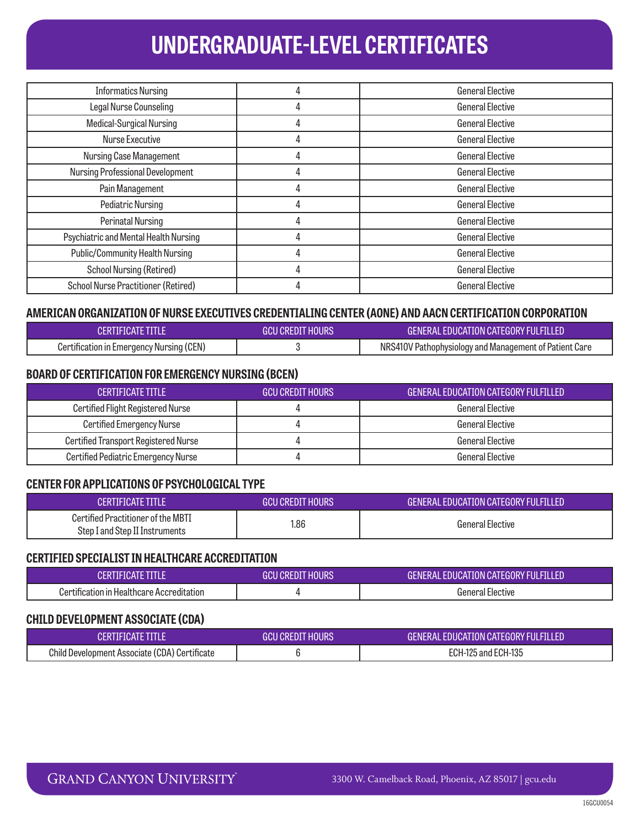| <b>Informatics Nursing</b>                 |   | <b>General Elective</b> |
|--------------------------------------------|---|-------------------------|
| Legal Nurse Counseling                     | 4 | <b>General Elective</b> |
| Medical-Surgical Nursing                   | 4 | <b>General Elective</b> |
| Nurse Executive                            | 4 | <b>General Elective</b> |
| <b>Nursing Case Management</b>             | 4 | <b>General Elective</b> |
| <b>Nursing Professional Development</b>    | 4 | <b>General Elective</b> |
| Pain Management                            |   | <b>General Elective</b> |
| Pediatric Nursing                          | 4 | <b>General Elective</b> |
| Perinatal Nursing                          |   | <b>General Elective</b> |
| Psychiatric and Mental Health Nursing      |   | <b>General Elective</b> |
| <b>Public/Community Health Nursing</b>     | 4 | <b>General Elective</b> |
| <b>School Nursing (Retired)</b>            | 4 | <b>General Elective</b> |
| <b>School Nurse Practitioner (Retired)</b> |   | <b>General Elective</b> |

## **AMERICAN ORGANIZATION OF NURSE EXECUTIVES CREDENTIALING CENTER (AONE) AND AACN CERTIFICATION CORPORATION**

| <b>CERTIFICATE TITLE</b>                 | <b>GCU CREDIT HOURS</b> | <b>GENERAL EDUCATION CATEGORY FULFILLED</b>            |
|------------------------------------------|-------------------------|--------------------------------------------------------|
| Certification in Emergency Nursing (CEN) |                         | NRS410V Pathophysiology and Management of Patient Care |

## **BOARD OF CERTIFICATION FOR EMERGENCY NURSING (BCEN)**

| <b>CERTIFICATE TITLE</b>                    | I GCU CREDIT HOURS ' | GENERAL EDUCATION CATEGORY FULFILLED |
|---------------------------------------------|----------------------|--------------------------------------|
| <b>Certified Flight Registered Nurse</b>    |                      | General Elective                     |
| Certified Emergency Nurse                   |                      | General Elective                     |
| <b>Certified Transport Registered Nurse</b> |                      | General Elective                     |
| <b>Certified Pediatric Emergency Nurse</b>  |                      | General Elective                     |

## **CENTER FOR APPLICATIONS OF PSYCHOLOGICAL TYPE**

| <b>CERTIFICATE TITLE</b>                                             | <b>GCU CREDIT HOURS</b> | <b>GENERAL EDUCATION CATEGORY FULFILLED</b> |
|----------------------------------------------------------------------|-------------------------|---------------------------------------------|
| Certified Practitioner of the MBTI<br>Step I and Step II Instruments | 1.86                    | <b>General Elective</b>                     |

### **CERTIFIED SPECIALIST IN HEALTHCARE ACCREDITATION**

|                                           | CREDIT HOURS<br>auu | <b>GENERAL EDUCATION CATEGORY FULFILLED</b> |
|-------------------------------------------|---------------------|---------------------------------------------|
| Certification in Healthcare Accreditation |                     | General Elective                            |

### **CHILD DEVELOPMENT ASSOCIATE (CDA)**

| CERTIFICATE TITI F/                                  | GCU CREDIT HOURS | <b>GENERAL EDUCATION CATEGORY FULFILLED</b> |
|------------------------------------------------------|------------------|---------------------------------------------|
| <b>Child Development Associate (CDA) Certificate</b> |                  | ECH-125 and ECH-135                         |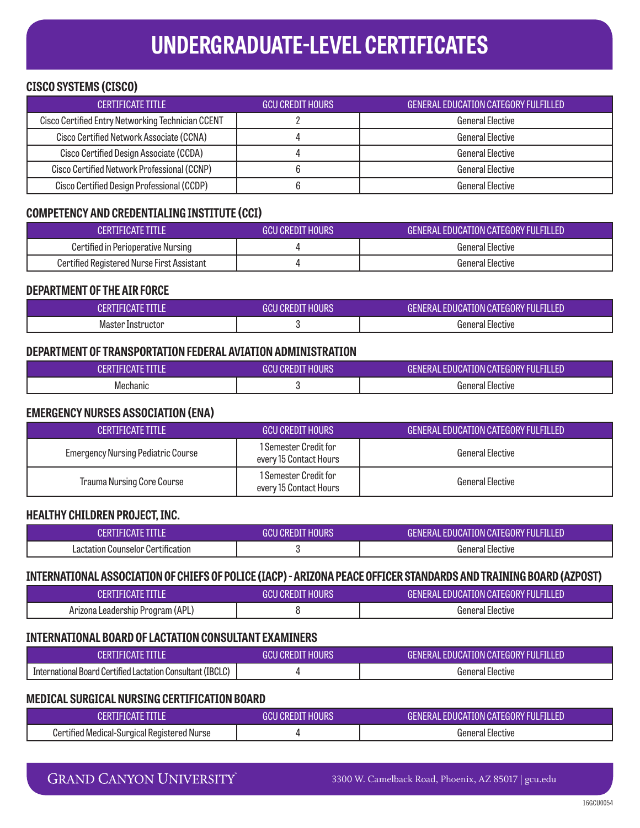## **CISCO SYSTEMS (CISCO)**

| <b>CERTIFICATE TITLE</b>                          | <b>GCU CREDIT HOURS</b> | <b>GENERAL EDUCATION CATEGORY FULFILLED</b> |
|---------------------------------------------------|-------------------------|---------------------------------------------|
| Cisco Certified Entry Networking Technician CCENT |                         | General Elective                            |
| Cisco Certified Network Associate (CCNA)          |                         | General Elective                            |
| Cisco Certified Design Associate (CCDA)           |                         | General Elective                            |
| Cisco Certified Network Professional (CCNP)       |                         | General Elective                            |
| Cisco Certified Design Professional (CCDP)        |                         | General Elective                            |

## **COMPETENCY AND CREDENTIALING INSTITUTE (CCI)**

| CERTIFICATE TITI F                         | <b>GCU CREDIT HOURS</b> | <b>GENERAL EDUCATION CATEGORY FULFILLED</b> |
|--------------------------------------------|-------------------------|---------------------------------------------|
| Certified in Perioperative Nursing         |                         | <b>General Elective</b>                     |
| Certified Registered Nurse First Assistant |                         | <b>General Elective</b>                     |

## **DEPARTMENT OF THE AIR FORCE**

|                   | I CREDIT HOURS<br>ווחר<br>чи. | . EDUCATION CATEGORY FULFILLED<br>General |
|-------------------|-------------------------------|-------------------------------------------|
| Master Instructor |                               | General<br>Elective                       |

#### **DEPARTMENT OF TRANSPORTATION FEDERAL AVIATION ADMINISTRATION**

| aш       | <b>CREDIT HOURS</b><br>GCI | LEDUCATION CATEGORY FULFILLED '<br>GFNFRAI |
|----------|----------------------------|--------------------------------------------|
| Mechanic |                            | deneral Elective                           |

#### **EMERGENCY NURSES ASSOCIATION (ENA)**

| <b>CERTIFICATE TITLE</b>                  | <b>GCU CREDIT HOURS</b>                         | <b>GENERAL EDUCATION CATEGORY FULFILLED</b> |
|-------------------------------------------|-------------------------------------------------|---------------------------------------------|
| <b>Emergency Nursing Pediatric Course</b> | 1 Semester Credit for<br>every 15 Contact Hours | General Elective                            |
| <b>Trauma Nursing Core Course</b>         | 1 Semester Credit for<br>every 15 Contact Hours | General Elective                            |

### **HEALTHY CHILDREN PROJECT, INC.**

|                                   | I CREDIT HOURS<br>чи. | EDUCATION CATEGORY FULFILLED.<br>GFNFRAI |
|-----------------------------------|-----------------------|------------------------------------------|
| Lactation Counselor Certification |                       | General Elective                         |

## **INTERNATIONAL ASSOCIATION OF CHIEFS OF POLICE (IACP) - ARIZONA PEACE OFFICER STANDARDS AND TRAINING BOARD (AZPOST)**

| …HUAIZ                           | GCU CREDIT HOURS | <b>GENERAL EDUCATION CATEGORY FULFILLED</b> |
|----------------------------------|------------------|---------------------------------------------|
| Arizona Leadership Program (APL) |                  | General Elective                            |

## **INTERNATIONAL BOARD OF LACTATION CONSULTANT EXAMINERS**

| <b>TIFICATE TITLE</b>                                      | I CREDIT HOURS' | <b>GENERAL EDUCATION CATEGORY FULFILLED</b> |
|------------------------------------------------------------|-----------------|---------------------------------------------|
| International Board Certified Lactation Consultant (IBCLC) |                 | General Elective                            |

## **MEDICAL SURGICAL NURSING CERTIFICATION BOARD**

| FICATE                                      | I CREDIT HOURS<br>GCIJ | GENERAL EDUCATION CATEGORY FULFILLED |
|---------------------------------------------|------------------------|--------------------------------------|
| Certified Medical-Surgical Registered Nurse |                        | General Elective                     |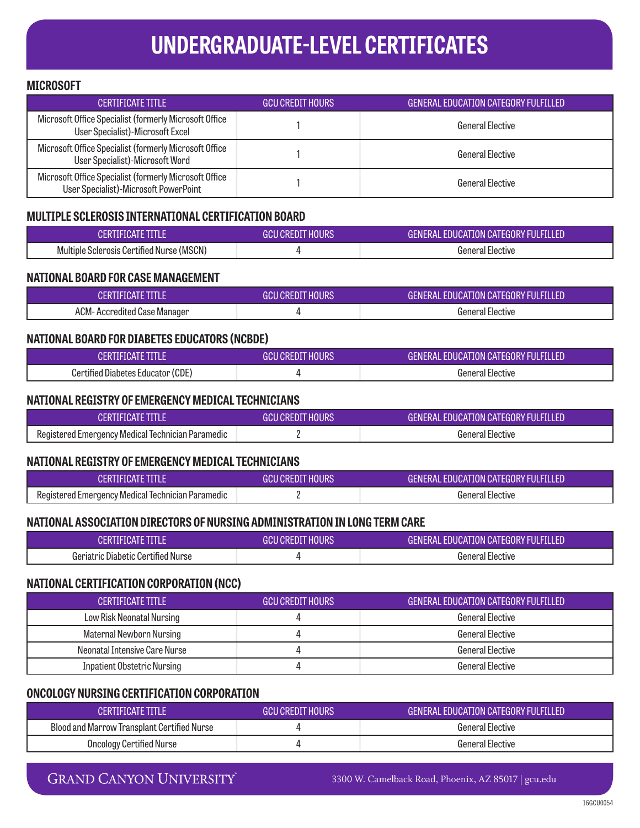### **MICROSOFT**

| CERTIFICATE TITI F                                                                              | <b>GCU CREDIT HOURS</b> | GENERAL EDUCATION CATEGORY FULFILLED |
|-------------------------------------------------------------------------------------------------|-------------------------|--------------------------------------|
| Microsoft Office Specialist (formerly Microsoft Office<br>User Specialist)-Microsoft Excel      |                         | General Elective                     |
| Microsoft Office Specialist (formerly Microsoft Office<br>User Specialist)-Microsoft Word       |                         | General Flective                     |
| Microsoft Office Specialist (formerly Microsoft Office<br>User Specialist)-Microsoft PowerPoint |                         | <b>General Elective</b>              |

## **MULTIPLE SCLEROSIS INTERNATIONAL CERTIFICATION BOARD**

| <b>TANGELITE START</b>                    | U CREDIT HOURS<br>GCIL | <b>GENERAL EDUCATION CATEGORY FULFILLED</b> |
|-------------------------------------------|------------------------|---------------------------------------------|
| Multiple Sclerosis Certified Nurse (MSCN) |                        | General Elective                            |

### **NATIONAL BOARD FOR CASE MANAGEMENT**

| <b>CERTIFICATE TITLE</b>     | GCU CREDIT HOURS' | GENERAL EDUCATION CATEGORY FULFILLED |
|------------------------------|-------------------|--------------------------------------|
| ACM- Accredited Case Manager |                   | General Elective                     |

### **NATIONAL BOARD FOR DIABETES EDUCATORS (NCBDE)**

| CERTIFICATE TITLE                 | GCU CREDIT HOURS' | GENERAL EDUCATION CATEGORY FULFILLED ' |
|-----------------------------------|-------------------|----------------------------------------|
| Certified Diabetes Educator (CDE) |                   | General Elective                       |

### **NATIONAL REGISTRY OF EMERGENCY MEDICAL TECHNICIANS**

| CERTIFICATE TITI F                                | GCU CREDIT HOURS | GENERAL EDUCATION CATEGORY FULFILLED |
|---------------------------------------------------|------------------|--------------------------------------|
| Registered Emergency Medical Technician Paramedic |                  | General Elective                     |

### **NATIONAL REGISTRY OF EMERGENCY MEDICAL TECHNICIANS**

| ÆRTIFICATE F                                      | GCU CREDIT HOURS | <b>GENERAL EDUCATION CATEGORY FULFILLED</b> |
|---------------------------------------------------|------------------|---------------------------------------------|
| Registered Emergency Medical Technician Paramedic |                  | General Elective                            |

### **NATIONAL ASSOCIATION DIRECTORS OF NURSING ADMINISTRATION IN LONG TERM CARE**

|                                    | <b>HOURS</b><br>I CREDIT<br>JUU . | <b>GENERAL EDUCATION CATEGORY FULFILLED</b> |
|------------------------------------|-----------------------------------|---------------------------------------------|
| Geriatric Diabetic Certified Nurse |                                   | General Elective                            |

### **NATIONAL CERTIFICATION CORPORATION (NCC)**

| <b>CERTIFICATE TITLE</b>           | LGCU CREDIT HOURS ' | GENERAL EDUCATION CATEGORY FULFILLED |
|------------------------------------|---------------------|--------------------------------------|
| Low Risk Neonatal Nursing          |                     | General Elective                     |
| Maternal Newborn Nursing           |                     | General Elective                     |
| Neonatal Intensive Care Nurse      |                     | General Elective                     |
| <b>Inpatient Obstetric Nursing</b> |                     | General Elective                     |

### **ONCOLOGY NURSING CERTIFICATION CORPORATION**

| <b>CERTIFICATE TITLE</b>                    | LGCU CREDIT HOURS ! | GENERAL EDUCATION CATEGORY FULFILLED ' |
|---------------------------------------------|---------------------|----------------------------------------|
| Blood and Marrow Transplant Certified Nurse |                     | General Elective                       |
| Oncology Certified Nurse                    |                     | General Elective                       |

## **GRAND CANYON UNIVERSITY**

3300 W. Camelback Road, Phoenix, AZ 85017 | gcu.edu